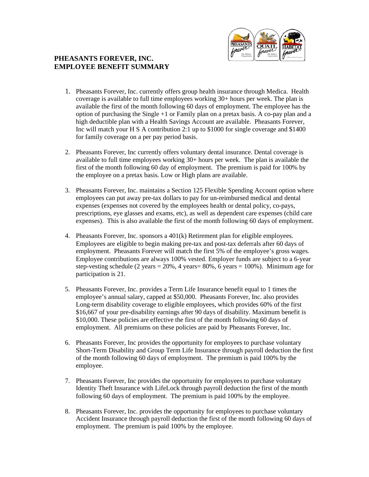

## **PHEASANTS FOREVER, INC. EMPLOYEE BENEFIT SUMMARY**

- 1. Pheasants Forever, Inc. currently offers group health insurance through Medica. Health coverage is available to full time employees working 30+ hours per week. The plan is available the first of the month following 60 days of employment. The employee has the option of purchasing the Single +1 or Family plan on a pretax basis. A co-pay plan and a high deductible plan with a Health Savings Account are available. Pheasants Forever, Inc will match your H S A contribution 2:1 up to \$1000 for single coverage and \$1400 for family coverage on a per pay period basis.
- 2. Pheasants Forever, Inc currently offers voluntary dental insurance. Dental coverage is available to full time employees working 30+ hours per week. The plan is available the first of the month following 60 day of employment. The premium is paid for 100% by the employee on a pretax basis. Low or High plans are available.
- 3. Pheasants Forever, Inc. maintains a Section 125 Flexible Spending Account option where employees can put away pre-tax dollars to pay for un-reimbursed medical and dental expenses (expenses not covered by the employees health or dental policy, co-pays, prescriptions, eye glasses and exams, etc), as well as dependent care expenses (child care expenses). This is also available the first of the month following 60 days of employment.
- 4. Pheasants Forever, Inc. sponsors a 401(k) Retirement plan for eligible employees. Employees are eligible to begin making pre-tax and post-tax deferrals after 60 days of employment. Pheasants Forever will match the first 5% of the employee's gross wages. Employee contributions are always 100% vested. Employer funds are subject to a 6-year step-vesting schedule (2 years =  $20\%$ , 4 years =  $80\%$ , 6 years = 100%). Minimum age for participation is 21.
- 5. Pheasants Forever, Inc. provides a Term Life Insurance benefit equal to 1 times the employee's annual salary, capped at \$50,000. Pheasants Forever, Inc. also provides Long-term disability coverage to eligible employees, which provides 60% of the first \$16,667 of your pre-disability earnings after 90 days of disability. Maximum benefit is \$10,000. These policies are effective the first of the month following 60 days of employment. All premiums on these policies are paid by Pheasants Forever, Inc.
- 6. Pheasants Forever, Inc provides the opportunity for employees to purchase voluntary Short-Term Disability and Group Term Life Insurance through payroll deduction the first of the month following 60 days of employment. The premium is paid 100% by the employee.
- 7. Pheasants Forever, Inc provides the opportunity for employees to purchase voluntary Identity Theft Insurance with LifeLock through payroll deduction the first of the month following 60 days of employment. The premium is paid 100% by the employee.
- 8. Pheasants Forever, Inc. provides the opportunity for employees to purchase voluntary Accident Insurance through payroll deduction the first of the month following 60 days of employment. The premium is paid 100% by the employee.